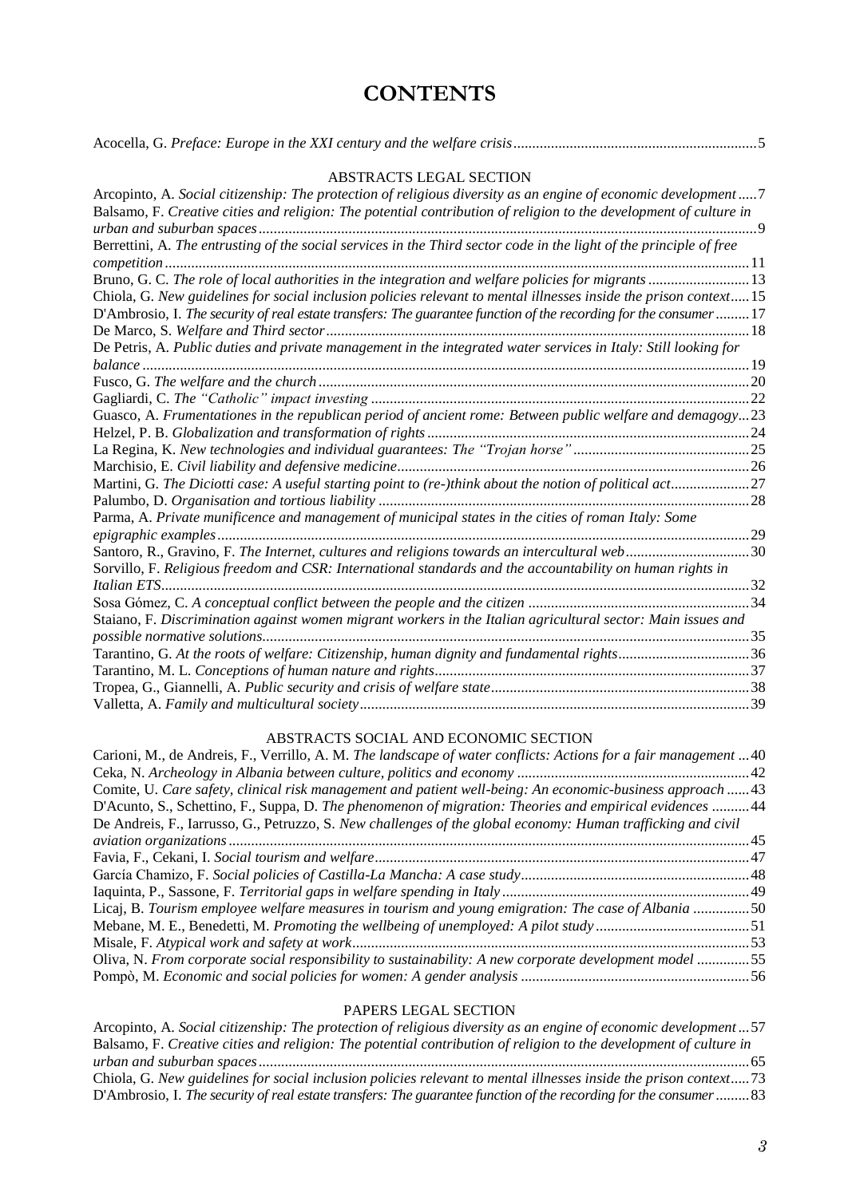## **CONTENTS**

| ABSTRACTS LEGAL SECTION                                                                                             |  |
|---------------------------------------------------------------------------------------------------------------------|--|
| Arcopinto, A. Social citizenship: The protection of religious diversity as an engine of economic development  7     |  |
| Balsamo, F. Creative cities and religion: The potential contribution of religion to the development of culture in   |  |
|                                                                                                                     |  |
| Berrettini, A. The entrusting of the social services in the Third sector code in the light of the principle of free |  |
| Bruno, G. C. The role of local authorities in the integration and welfare policies for migrants  13                 |  |
| Chiola, G. New guidelines for social inclusion policies relevant to mental illnesses inside the prison context15    |  |
| D'Ambrosio, I. The security of real estate transfers: The guarantee function of the recording for the consumer  17  |  |
|                                                                                                                     |  |
| De Petris, A. Public duties and private management in the integrated water services in Italy: Still looking for     |  |
|                                                                                                                     |  |
|                                                                                                                     |  |
|                                                                                                                     |  |
| Guasco, A. Frumentationes in the republican period of ancient rome: Between public welfare and demagogy23           |  |
|                                                                                                                     |  |
|                                                                                                                     |  |
|                                                                                                                     |  |
| Martini, G. The Diciotti case: A useful starting point to (re-)think about the notion of political act27            |  |
|                                                                                                                     |  |
| Parma, A. Private munificence and management of municipal states in the cities of roman Italy: Some                 |  |
|                                                                                                                     |  |
| Santoro, R., Gravino, F. The Internet, cultures and religions towards an intercultural web30                        |  |
| Sorvillo, F. Religious freedom and CSR: International standards and the accountability on human rights in           |  |
|                                                                                                                     |  |
|                                                                                                                     |  |
| Staiano, F. Discrimination against women migrant workers in the Italian agricultural sector: Main issues and        |  |
|                                                                                                                     |  |
| Tarantino, G. At the roots of welfare: Citizenship, human dignity and fundamental rights36                          |  |
|                                                                                                                     |  |
|                                                                                                                     |  |
|                                                                                                                     |  |

## ABSTRACTS SOCIAL AND ECONOMIC SECTION

| Carioni, M., de Andreis, F., Verrillo, A. M. The landscape of water conflicts: Actions for a fair management  40 |  |
|------------------------------------------------------------------------------------------------------------------|--|
|                                                                                                                  |  |
| Comite, U. Care safety, clinical risk management and patient well-being: An economic-business approach 43        |  |
| D'Acunto, S., Schettino, F., Suppa, D. The phenomenon of migration: Theories and empirical evidences 44          |  |
| De Andreis, F., Iarrusso, G., Petruzzo, S. New challenges of the global economy: Human trafficking and civil     |  |
|                                                                                                                  |  |
|                                                                                                                  |  |
|                                                                                                                  |  |
|                                                                                                                  |  |
| Licaj, B. Tourism employee welfare measures in tourism and young emigration: The case of Albania 50              |  |
|                                                                                                                  |  |
|                                                                                                                  |  |
| Oliva, N. From corporate social responsibility to sustainability: A new corporate development model 55           |  |
|                                                                                                                  |  |

## PAPERS LEGAL SECTION

| Arcopinto, A. Social citizenship: The protection of religious diversity as an engine of economic development57     |
|--------------------------------------------------------------------------------------------------------------------|
| Balsamo, F. Creative cities and religion: The potential contribution of religion to the development of culture in  |
|                                                                                                                    |
| Chiola, G. New guidelines for social inclusion policies relevant to mental illnesses inside the prison context73   |
| D'Ambrosio, I. The security of real estate transfers: The guarantee function of the recording for the consumer  83 |